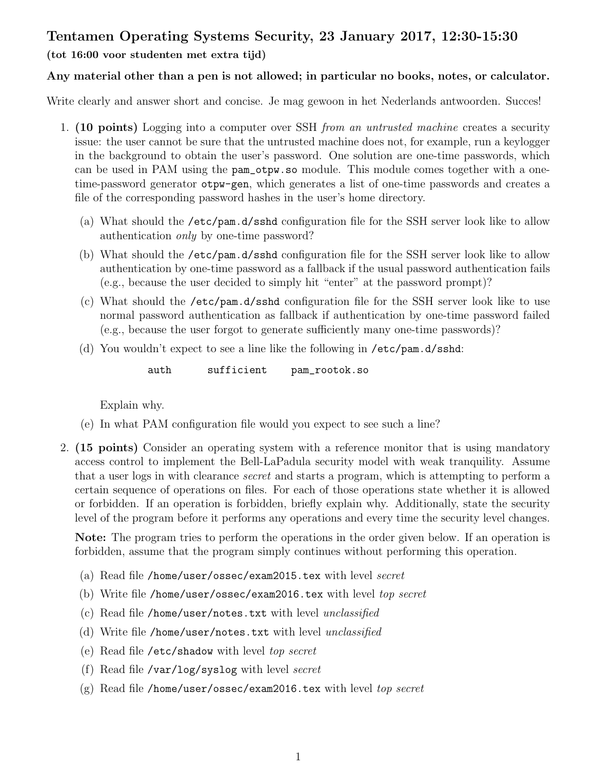## Tentamen Operating Systems Security, 23 January 2017, 12:30-15:30

## (tot 16:00 voor studenten met extra tijd)

## Any material other than a pen is not allowed; in particular no books, notes, or calculator.

Write clearly and answer short and concise. Je mag gewoon in het Nederlands antwoorden. Succes!

- 1. (10 points) Logging into a computer over SSH from an untrusted machine creates a security issue: the user cannot be sure that the untrusted machine does not, for example, run a keylogger in the background to obtain the user's password. One solution are one-time passwords, which can be used in PAM using the pam\_otpw.so module. This module comes together with a onetime-password generator otpw-gen, which generates a list of one-time passwords and creates a file of the corresponding password hashes in the user's home directory.
	- (a) What should the /etc/pam.d/sshd configuration file for the SSH server look like to allow authentication only by one-time password?
	- (b) What should the /etc/pam.d/sshd configuration file for the SSH server look like to allow authentication by one-time password as a fallback if the usual password authentication fails (e.g., because the user decided to simply hit "enter" at the password prompt)?
	- (c) What should the /etc/pam.d/sshd configuration file for the SSH server look like to use normal password authentication as fallback if authentication by one-time password failed (e.g., because the user forgot to generate sufficiently many one-time passwords)?
	- (d) You wouldn't expect to see a line like the following in  $/etc/$  pam.d $\sqrt{s}$ shd:

auth sufficient pam\_rootok.so

Explain why.

- (e) In what PAM configuration file would you expect to see such a line?
- 2. (15 points) Consider an operating system with a reference monitor that is using mandatory access control to implement the Bell-LaPadula security model with weak tranquility. Assume that a user logs in with clearance secret and starts a program, which is attempting to perform a certain sequence of operations on files. For each of those operations state whether it is allowed or forbidden. If an operation is forbidden, briefly explain why. Additionally, state the security level of the program before it performs any operations and every time the security level changes.

Note: The program tries to perform the operations in the order given below. If an operation is forbidden, assume that the program simply continues without performing this operation.

- (a) Read file /home/user/ossec/exam2015.tex with level secret
- (b) Write file /home/user/ossec/exam2016.tex with level top secret
- (c) Read file /home/user/notes.txt with level unclassified
- (d) Write file /home/user/notes.txt with level unclassified
- (e) Read file /etc/shadow with level top secret
- (f) Read file /var/log/syslog with level secret
- (g) Read file /home/user/ossec/exam2016.tex with level top secret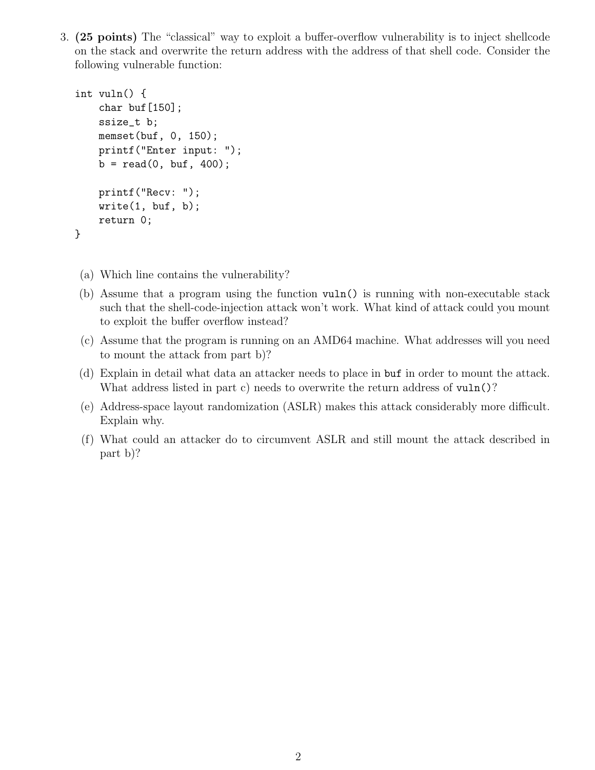3. (25 points) The "classical" way to exploit a buffer-overflow vulnerability is to inject shellcode on the stack and overwrite the return address with the address of that shell code. Consider the following vulnerable function:

```
int vuln() {
    char buf[150];
    ssize_t b;
    memset(buf, 0, 150);
    printf("Enter input: ");
    b = read(0, but, 400);printf("Recv: ");
    write(1, but, b);return 0;
}
```
- (a) Which line contains the vulnerability?
- (b) Assume that a program using the function vuln() is running with non-executable stack such that the shell-code-injection attack won't work. What kind of attack could you mount to exploit the buffer overflow instead?
- (c) Assume that the program is running on an AMD64 machine. What addresses will you need to mount the attack from part b)?
- (d) Explain in detail what data an attacker needs to place in buf in order to mount the attack. What address listed in part c) needs to overwrite the return address of vuln()?
- (e) Address-space layout randomization (ASLR) makes this attack considerably more difficult. Explain why.
- (f) What could an attacker do to circumvent ASLR and still mount the attack described in part b)?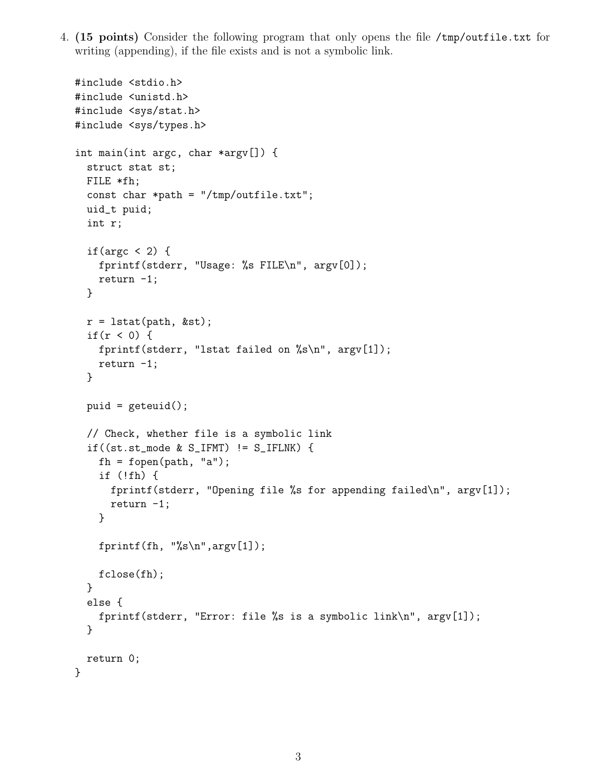4. (15 points) Consider the following program that only opens the file /tmp/outfile.txt for writing (appending), if the file exists and is not a symbolic link.

```
#include <stdio.h>
#include <unistd.h>
#include <sys/stat.h>
#include <sys/types.h>
int main(int argc, char *argv[]) {
  struct stat st;
 FILE *fh;
  const char *path = "/tmp/outfile.txt";
  uid_t puid;
  int r;
  if(argc \langle 2 \rangle {
    fprintf(stderr, "Usage: %s FILE\n", argv[0]);
    return -1;
  }
  r = lstat(path, &st);
  if(r < 0) {
    fprintf(stderr, "lstat failed on \sqrt{k}s\n", argv[1]);
    return -1;
  }
  puid = geteuid();
  // Check, whether file is a symbolic link
  if((st.st_model & S_IFFMT) != S_IFFINK) {
    fh = fopen(path, "a");
    if (!fh) {
      fprintf(stderr, "Opening file %s for appending failed\n", argv[1]);
      return -1;
    }
    fprintf(fh, \sqrt{\sinh(\pi)}, argv[1]);
    fclose(fh);
  }
  else {
    fprintf(stderr, "Error: file %s is a symbolic link\n", argv[1]);
  }
  return 0;
}
```